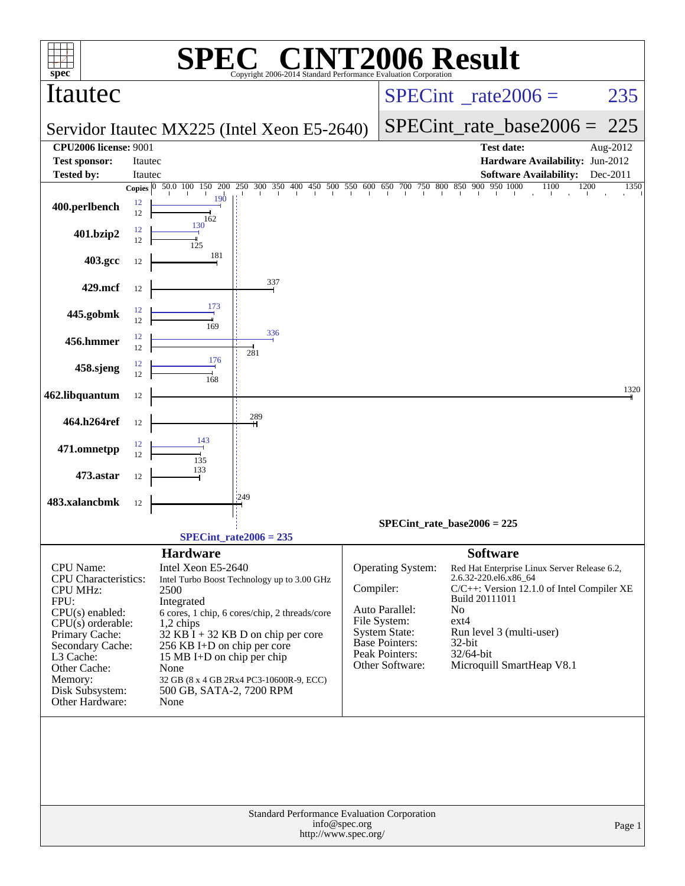| <b>NT2006 Result</b><br>$\blacksquare$<br>Copyright 2006-2014 Standard Performance Evaluation Corporation                                                                                                                           |          |                                                                                                                                                                                                                                                                                                                                                                      |                                                                    |                                       |                                                                                                                                                        |                                                                                                                                                                                                                                                               |              |  |  |  |
|-------------------------------------------------------------------------------------------------------------------------------------------------------------------------------------------------------------------------------------|----------|----------------------------------------------------------------------------------------------------------------------------------------------------------------------------------------------------------------------------------------------------------------------------------------------------------------------------------------------------------------------|--------------------------------------------------------------------|---------------------------------------|--------------------------------------------------------------------------------------------------------------------------------------------------------|---------------------------------------------------------------------------------------------------------------------------------------------------------------------------------------------------------------------------------------------------------------|--------------|--|--|--|
| spec <sup>®</sup><br>Itautec                                                                                                                                                                                                        |          |                                                                                                                                                                                                                                                                                                                                                                      |                                                                    |                                       |                                                                                                                                                        | $SPECint^{\circ}$ <sub>_rate2006</sub> =                                                                                                                                                                                                                      | 235          |  |  |  |
|                                                                                                                                                                                                                                     |          |                                                                                                                                                                                                                                                                                                                                                                      | Servidor Itautec MX225 (Intel Xeon E5-2640)                        |                                       |                                                                                                                                                        | $SPECint_rate\_base2006 =$                                                                                                                                                                                                                                    | 225          |  |  |  |
| <b>CPU2006</b> license: 9001                                                                                                                                                                                                        |          |                                                                                                                                                                                                                                                                                                                                                                      |                                                                    |                                       |                                                                                                                                                        | <b>Test date:</b>                                                                                                                                                                                                                                             | Aug-2012     |  |  |  |
| <b>Test sponsor:</b>                                                                                                                                                                                                                | Itautec  |                                                                                                                                                                                                                                                                                                                                                                      |                                                                    |                                       |                                                                                                                                                        | Hardware Availability: Jun-2012                                                                                                                                                                                                                               |              |  |  |  |
| <b>Tested by:</b>                                                                                                                                                                                                                   | Itautec  |                                                                                                                                                                                                                                                                                                                                                                      |                                                                    |                                       |                                                                                                                                                        | <b>Software Availability:</b>                                                                                                                                                                                                                                 | Dec-2011     |  |  |  |
|                                                                                                                                                                                                                                     |          | Copies $\boxed{0}$ 50.0 100 150 200<br>190                                                                                                                                                                                                                                                                                                                           | $250$ 300 350 400 450 500 550 600 650 700 750 800 850 900 950 1000 |                                       |                                                                                                                                                        | 1100<br>The Change of                                                                                                                                                                                                                                         | 1200<br>1350 |  |  |  |
| 400.perlbench                                                                                                                                                                                                                       | 12<br>12 | 162                                                                                                                                                                                                                                                                                                                                                                  |                                                                    |                                       |                                                                                                                                                        |                                                                                                                                                                                                                                                               |              |  |  |  |
| 401.bzip2                                                                                                                                                                                                                           | 12<br>12 | 130                                                                                                                                                                                                                                                                                                                                                                  |                                                                    |                                       |                                                                                                                                                        |                                                                                                                                                                                                                                                               |              |  |  |  |
| 403.gcc                                                                                                                                                                                                                             | 12       | 181                                                                                                                                                                                                                                                                                                                                                                  |                                                                    |                                       |                                                                                                                                                        |                                                                                                                                                                                                                                                               |              |  |  |  |
| 429.mcf                                                                                                                                                                                                                             | 12       |                                                                                                                                                                                                                                                                                                                                                                      | 337                                                                |                                       |                                                                                                                                                        |                                                                                                                                                                                                                                                               |              |  |  |  |
|                                                                                                                                                                                                                                     | 12       | 173                                                                                                                                                                                                                                                                                                                                                                  |                                                                    |                                       |                                                                                                                                                        |                                                                                                                                                                                                                                                               |              |  |  |  |
| 445.gobmk                                                                                                                                                                                                                           | 12       | 169                                                                                                                                                                                                                                                                                                                                                                  | 336                                                                |                                       |                                                                                                                                                        |                                                                                                                                                                                                                                                               |              |  |  |  |
| 456.hmmer                                                                                                                                                                                                                           | 12<br>12 |                                                                                                                                                                                                                                                                                                                                                                      | 281                                                                |                                       |                                                                                                                                                        |                                                                                                                                                                                                                                                               |              |  |  |  |
| 458.sjeng                                                                                                                                                                                                                           | 12<br>12 | 176<br>168                                                                                                                                                                                                                                                                                                                                                           |                                                                    |                                       |                                                                                                                                                        |                                                                                                                                                                                                                                                               |              |  |  |  |
| 462.libquantum                                                                                                                                                                                                                      | 12       |                                                                                                                                                                                                                                                                                                                                                                      |                                                                    |                                       |                                                                                                                                                        |                                                                                                                                                                                                                                                               | 1320         |  |  |  |
| 464.h264ref                                                                                                                                                                                                                         | 12       |                                                                                                                                                                                                                                                                                                                                                                      | 289                                                                |                                       |                                                                                                                                                        |                                                                                                                                                                                                                                                               |              |  |  |  |
| 471.omnetpp                                                                                                                                                                                                                         | 12       | 143                                                                                                                                                                                                                                                                                                                                                                  |                                                                    |                                       |                                                                                                                                                        |                                                                                                                                                                                                                                                               |              |  |  |  |
|                                                                                                                                                                                                                                     | 12       | 135<br>133                                                                                                                                                                                                                                                                                                                                                           |                                                                    |                                       |                                                                                                                                                        |                                                                                                                                                                                                                                                               |              |  |  |  |
| 473.astar                                                                                                                                                                                                                           | 12       |                                                                                                                                                                                                                                                                                                                                                                      | 1249                                                               |                                       |                                                                                                                                                        |                                                                                                                                                                                                                                                               |              |  |  |  |
| 483.xalancbmk                                                                                                                                                                                                                       | 12       |                                                                                                                                                                                                                                                                                                                                                                      |                                                                    |                                       |                                                                                                                                                        |                                                                                                                                                                                                                                                               |              |  |  |  |
|                                                                                                                                                                                                                                     |          |                                                                                                                                                                                                                                                                                                                                                                      |                                                                    |                                       |                                                                                                                                                        | $SPECint_rate_base2006 = 225$                                                                                                                                                                                                                                 |              |  |  |  |
|                                                                                                                                                                                                                                     |          |                                                                                                                                                                                                                                                                                                                                                                      | $SPECint_rate2006 = 235$                                           |                                       |                                                                                                                                                        |                                                                                                                                                                                                                                                               |              |  |  |  |
| CPU Name:<br><b>CPU</b> Characteristics:<br><b>CPU MHz:</b><br>FPU:<br>$CPU(s)$ enabled:<br>$CPU(s)$ orderable:<br>Primary Cache:<br>Secondary Cache:<br>L3 Cache:<br>Other Cache:<br>Memory:<br>Disk Subsystem:<br>Other Hardware: |          | <b>Hardware</b><br>Intel Xeon E5-2640<br>Intel Turbo Boost Technology up to 3.00 GHz<br>2500<br>Integrated<br>6 cores, 1 chip, 6 cores/chip, 2 threads/core<br>1,2 chips<br>$32$ KB I + 32 KB D on chip per core<br>256 KB I+D on chip per core<br>15 MB I+D on chip per chip<br>None<br>32 GB (8 x 4 GB 2Rx4 PC3-10600R-9, ECC)<br>500 GB, SATA-2, 7200 RPM<br>None |                                                                    |                                       | <b>Operating System:</b><br>Compiler:<br>Auto Parallel:<br>File System:<br><b>System State:</b><br>Base Pointers:<br>Peak Pointers:<br>Other Software: | <b>Software</b><br>Red Hat Enterprise Linux Server Release 6.2,<br>2.6.32-220.el6.x86_64<br>C/C++: Version 12.1.0 of Intel Compiler XE<br>Build 20111011<br>No<br>$ext{4}$<br>Run level 3 (multi-user)<br>$32$ -bit<br>32/64-bit<br>Microquill SmartHeap V8.1 |              |  |  |  |
|                                                                                                                                                                                                                                     |          |                                                                                                                                                                                                                                                                                                                                                                      | Standard Performance Evaluation Corporation                        | info@spec.org<br>http://www.spec.org/ |                                                                                                                                                        |                                                                                                                                                                                                                                                               | Page 1       |  |  |  |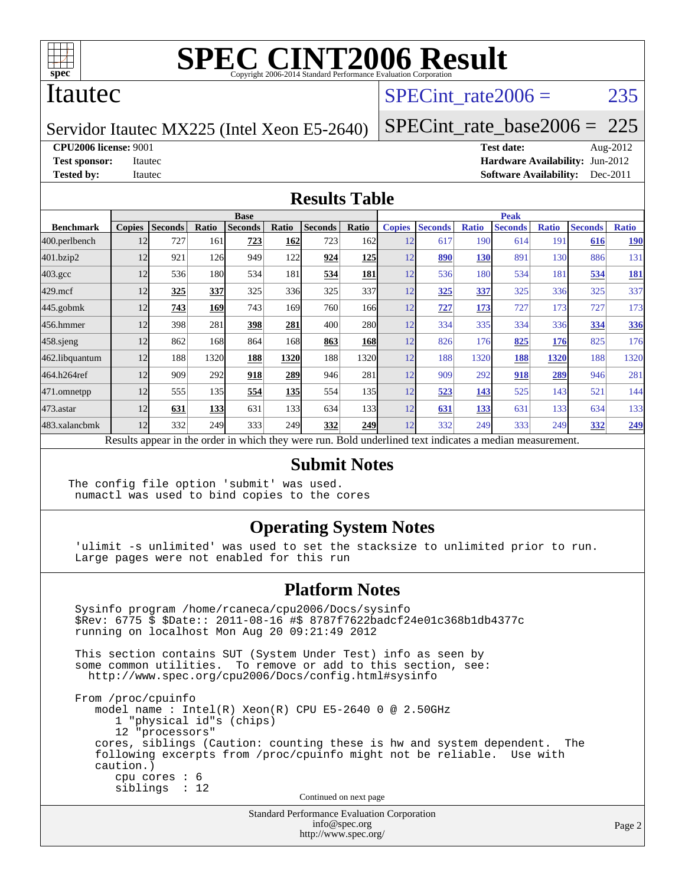

### Itautec

### SPECint rate $2006 = 235$

Servidor Itautec MX225 (Intel Xeon E5-2640)

[SPECint\\_rate\\_base2006 =](http://www.spec.org/auto/cpu2006/Docs/result-fields.html#SPECintratebase2006) 225

**[CPU2006 license:](http://www.spec.org/auto/cpu2006/Docs/result-fields.html#CPU2006license)** 9001 **[Test date:](http://www.spec.org/auto/cpu2006/Docs/result-fields.html#Testdate)** Aug-2012

**[Test sponsor:](http://www.spec.org/auto/cpu2006/Docs/result-fields.html#Testsponsor)** Itautec **[Hardware Availability:](http://www.spec.org/auto/cpu2006/Docs/result-fields.html#HardwareAvailability)** Jun-2012 **[Tested by:](http://www.spec.org/auto/cpu2006/Docs/result-fields.html#Testedby)** Itautec **Italien Contract Contract Contract Contract Contract Contract Contract Contract Contract Contract Contract Contract Contract Contract Contract Contract Contract Contract Contract Contract Contract Con** 

#### **[Results Table](http://www.spec.org/auto/cpu2006/Docs/result-fields.html#ResultsTable)**

|                                                                                                          | <b>Base</b>   |                |       |                |       |                |                  | <b>Peak</b>   |                |              |                |              |                |              |
|----------------------------------------------------------------------------------------------------------|---------------|----------------|-------|----------------|-------|----------------|------------------|---------------|----------------|--------------|----------------|--------------|----------------|--------------|
| <b>Benchmark</b>                                                                                         | <b>Copies</b> | <b>Seconds</b> | Ratio | <b>Seconds</b> | Ratio | <b>Seconds</b> | Ratio            | <b>Copies</b> | <b>Seconds</b> | <b>Ratio</b> | <b>Seconds</b> | <b>Ratio</b> | <b>Seconds</b> | <b>Ratio</b> |
| 400.perlbench                                                                                            | 12            | 727            | 161   | 723            | 162   | 723            | 162l             | 12            | 617            | 190          | 614            | 191          | 616            | <u>190</u>   |
| 401.bzip2                                                                                                | 12            | 921            | 126   | 949            | 122   | 924            | <b>125</b>       | 12            | 890            | 130          | 891            | 130          | 886            | 131          |
| $403.\mathrm{gcc}$                                                                                       | 12            | 536            | 180   | 534            | 181   | 534            | 181              | 12            | 536            | 180          | 534            | 181          | 534            | <u>181</u>   |
| $429$ .mcf                                                                                               | 12            | 325            | 337   | 325            | 336   | 325            | 337              | 12            | 325            | 337          | 325            | 336          | 325            | 337          |
| $445$ .gobmk                                                                                             | 12            | 743            | 169   | 743            | 169   | 760            | 1661             | 12            | 727            | 173          | 727            | 173          | 727            | 173          |
| 456.hmmer                                                                                                | 12            | 398            | 281   | 398            | 281   | 400            | <b>280</b>       | 12            | 334            | 335          | 334            | 336          | 334            | <b>336</b>   |
| 458 sjeng                                                                                                | 12            | 862            | 168   | 864            | 168   | 863            | <b>168</b>       | 12            | 826            | 176          | 825            | 176          | 825            | 176          |
| 462.libquantum                                                                                           | 12            | 188            | 1320  | 188            | 1320  | 188            | 1320             | 12            | 188            | 1320         | 188            | 1320         | 188            | 1320         |
| 464.h264ref                                                                                              | 12            | 909            | 292   | 918            | 289   | 946            | 281              | 12            | 909            | 292          | 918            | 289          | 946            | 281          |
| 471.omnetpp                                                                                              | 12            | 555            | 135   | 554            | 135   | 554            | 135 <sup>I</sup> | 12            | 523            | 143          | 525            | 143          | 521            | 144          |
| $473.$ astar                                                                                             | 12            | 631            | 133   | 631            | 133   | 634            | 133 <sup>I</sup> | 12            | 631            | 133          | 631            | 133          | 634            | 133          |
| 483.xalancbmk                                                                                            | 12            | 332            | 249   | 333            | 249   | 332            | 249              | 12            | 332            | 249          | 333            | 249          | 332            | <u>249</u>   |
| Results appear in the order in which they were run. Bold underlined text indicates a median measurement. |               |                |       |                |       |                |                  |               |                |              |                |              |                |              |

#### **[Submit Notes](http://www.spec.org/auto/cpu2006/Docs/result-fields.html#SubmitNotes)**

The config file option 'submit' was used. numactl was used to bind copies to the cores

#### **[Operating System Notes](http://www.spec.org/auto/cpu2006/Docs/result-fields.html#OperatingSystemNotes)**

 'ulimit -s unlimited' was used to set the stacksize to unlimited prior to run. Large pages were not enabled for this run

#### **[Platform Notes](http://www.spec.org/auto/cpu2006/Docs/result-fields.html#PlatformNotes)**

 Sysinfo program /home/rcaneca/cpu2006/Docs/sysinfo \$Rev: 6775 \$ \$Date:: 2011-08-16 #\$ 8787f7622badcf24e01c368b1db4377c running on localhost Mon Aug 20 09:21:49 2012 This section contains SUT (System Under Test) info as seen by some common utilities. To remove or add to this section, see: <http://www.spec.org/cpu2006/Docs/config.html#sysinfo> From /proc/cpuinfo model name : Intel(R) Xeon(R) CPU E5-2640 0 @ 2.50GHz 1 "physical id"s (chips) 12 "processors" cores, siblings (Caution: counting these is hw and system dependent. The following excerpts from /proc/cpuinfo might not be reliable. Use with caution.) cpu cores : 6 siblings : 12 Continued on next page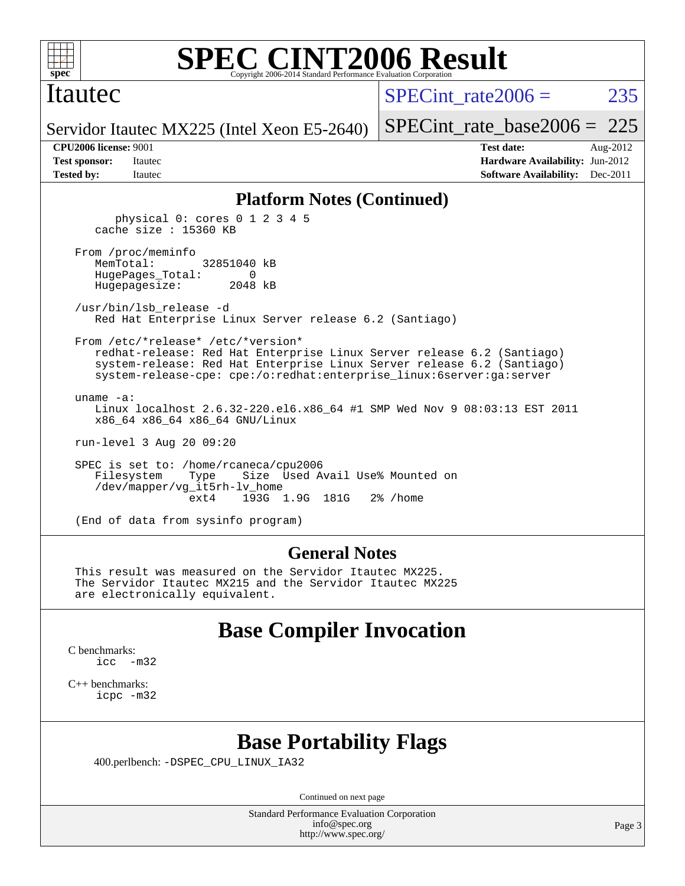

#### Itautec

SPECint rate $2006 = 235$ 

[SPECint\\_rate\\_base2006 =](http://www.spec.org/auto/cpu2006/Docs/result-fields.html#SPECintratebase2006)  $225$ 

Servidor Itautec MX225 (Intel Xeon E5-2640)

**[Tested by:](http://www.spec.org/auto/cpu2006/Docs/result-fields.html#Testedby)** Itautec **Italien Contract Contract Contract Contract Contract Contract Contract Contract Contract Contract Contract Contract Contract Contract Contract Contract Contract Contract Contract Contract Contract Con** 

**[CPU2006 license:](http://www.spec.org/auto/cpu2006/Docs/result-fields.html#CPU2006license)** 9001 **[Test date:](http://www.spec.org/auto/cpu2006/Docs/result-fields.html#Testdate)** Aug-2012 **[Test sponsor:](http://www.spec.org/auto/cpu2006/Docs/result-fields.html#Testsponsor)** Itautec **[Hardware Availability:](http://www.spec.org/auto/cpu2006/Docs/result-fields.html#HardwareAvailability)** Jun-2012

#### **[Platform Notes \(Continued\)](http://www.spec.org/auto/cpu2006/Docs/result-fields.html#PlatformNotes)**

 physical 0: cores 0 1 2 3 4 5 cache size : 15360 KB

 From /proc/meminfo MemTotal: 32851040 kB HugePages\_Total: 0 Hugepagesize: 2048 kB

 /usr/bin/lsb\_release -d Red Hat Enterprise Linux Server release 6.2 (Santiago)

 From /etc/\*release\* /etc/\*version\* redhat-release: Red Hat Enterprise Linux Server release 6.2 (Santiago) system-release: Red Hat Enterprise Linux Server release 6.2 (Santiago) system-release-cpe: cpe:/o:redhat:enterprise\_linux:6server:ga:server

 uname -a: Linux localhost 2.6.32-220.el6.x86\_64 #1 SMP Wed Nov 9 08:03:13 EST 2011 x86\_64 x86\_64 x86\_64 GNU/Linux

run-level 3 Aug 20 09:20

 SPEC is set to: /home/rcaneca/cpu2006 Filesystem Type Size Used Avail Use% Mounted on /dev/mapper/vg\_it5rh-lv\_home 193G 1.9G 181G 2% / home

(End of data from sysinfo program)

#### **[General Notes](http://www.spec.org/auto/cpu2006/Docs/result-fields.html#GeneralNotes)**

 This result was measured on the Servidor Itautec MX225. The Servidor Itautec MX215 and the Servidor Itautec MX225 are electronically equivalent.

### **[Base Compiler Invocation](http://www.spec.org/auto/cpu2006/Docs/result-fields.html#BaseCompilerInvocation)**

[C benchmarks](http://www.spec.org/auto/cpu2006/Docs/result-fields.html#Cbenchmarks): [icc -m32](http://www.spec.org/cpu2006/results/res2012q3/cpu2006-20120821-24268.flags.html#user_CCbase_intel_icc_5ff4a39e364c98233615fdd38438c6f2)

[C++ benchmarks:](http://www.spec.org/auto/cpu2006/Docs/result-fields.html#CXXbenchmarks) [icpc -m32](http://www.spec.org/cpu2006/results/res2012q3/cpu2006-20120821-24268.flags.html#user_CXXbase_intel_icpc_4e5a5ef1a53fd332b3c49e69c3330699)

# **[Base Portability Flags](http://www.spec.org/auto/cpu2006/Docs/result-fields.html#BasePortabilityFlags)**

400.perlbench: [-DSPEC\\_CPU\\_LINUX\\_IA32](http://www.spec.org/cpu2006/results/res2012q3/cpu2006-20120821-24268.flags.html#b400.perlbench_baseCPORTABILITY_DSPEC_CPU_LINUX_IA32)

Continued on next page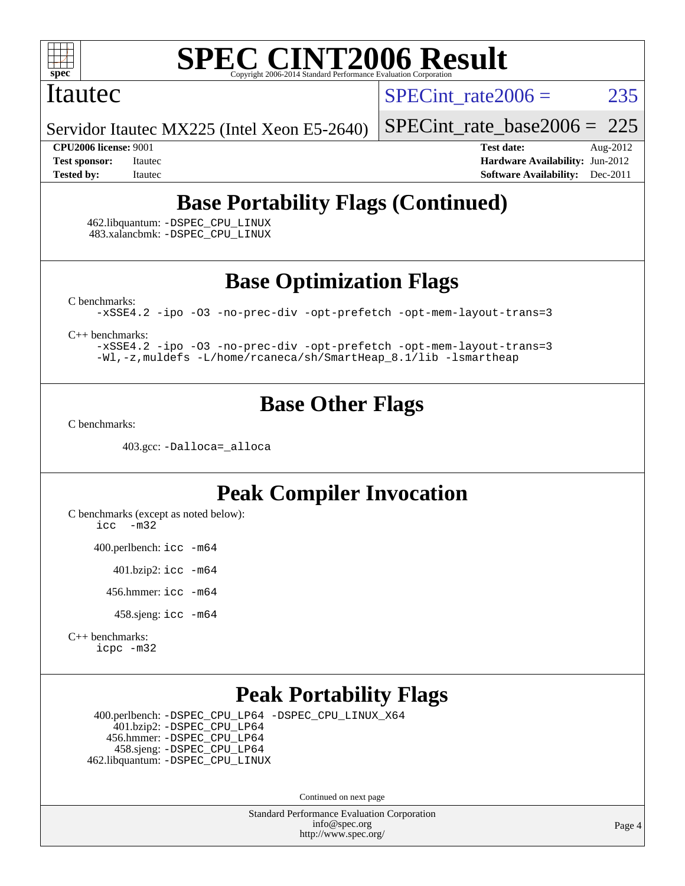

#### Itautec

SPECint rate $2006 = 235$ 

Servidor Itautec MX225 (Intel Xeon E5-2640)

[SPECint\\_rate\\_base2006 =](http://www.spec.org/auto/cpu2006/Docs/result-fields.html#SPECintratebase2006) 225

**[CPU2006 license:](http://www.spec.org/auto/cpu2006/Docs/result-fields.html#CPU2006license)** 9001 **[Test date:](http://www.spec.org/auto/cpu2006/Docs/result-fields.html#Testdate)** Aug-2012 **[Test sponsor:](http://www.spec.org/auto/cpu2006/Docs/result-fields.html#Testsponsor)** Itautec **[Hardware Availability:](http://www.spec.org/auto/cpu2006/Docs/result-fields.html#HardwareAvailability)** Jun-2012 **[Tested by:](http://www.spec.org/auto/cpu2006/Docs/result-fields.html#Testedby)** Itautec **Italien Contract Contract Contract Contract Contract Contract Contract Contract Contract Contract Contract Contract Contract Contract Contract Contract Contract Contract Contract Contract Contract Con** 

# **[Base Portability Flags \(Continued\)](http://www.spec.org/auto/cpu2006/Docs/result-fields.html#BasePortabilityFlags)**

 462.libquantum: [-DSPEC\\_CPU\\_LINUX](http://www.spec.org/cpu2006/results/res2012q3/cpu2006-20120821-24268.flags.html#b462.libquantum_baseCPORTABILITY_DSPEC_CPU_LINUX) 483.xalancbmk: [-DSPEC\\_CPU\\_LINUX](http://www.spec.org/cpu2006/results/res2012q3/cpu2006-20120821-24268.flags.html#b483.xalancbmk_baseCXXPORTABILITY_DSPEC_CPU_LINUX)

**[Base Optimization Flags](http://www.spec.org/auto/cpu2006/Docs/result-fields.html#BaseOptimizationFlags)**

[C benchmarks](http://www.spec.org/auto/cpu2006/Docs/result-fields.html#Cbenchmarks):

[-xSSE4.2](http://www.spec.org/cpu2006/results/res2012q3/cpu2006-20120821-24268.flags.html#user_CCbase_f-xSSE42_f91528193cf0b216347adb8b939d4107) [-ipo](http://www.spec.org/cpu2006/results/res2012q3/cpu2006-20120821-24268.flags.html#user_CCbase_f-ipo) [-O3](http://www.spec.org/cpu2006/results/res2012q3/cpu2006-20120821-24268.flags.html#user_CCbase_f-O3) [-no-prec-div](http://www.spec.org/cpu2006/results/res2012q3/cpu2006-20120821-24268.flags.html#user_CCbase_f-no-prec-div) [-opt-prefetch](http://www.spec.org/cpu2006/results/res2012q3/cpu2006-20120821-24268.flags.html#user_CCbase_f-opt-prefetch) [-opt-mem-layout-trans=3](http://www.spec.org/cpu2006/results/res2012q3/cpu2006-20120821-24268.flags.html#user_CCbase_f-opt-mem-layout-trans_a7b82ad4bd7abf52556d4961a2ae94d5)

[C++ benchmarks:](http://www.spec.org/auto/cpu2006/Docs/result-fields.html#CXXbenchmarks)

[-xSSE4.2](http://www.spec.org/cpu2006/results/res2012q3/cpu2006-20120821-24268.flags.html#user_CXXbase_f-xSSE42_f91528193cf0b216347adb8b939d4107) [-ipo](http://www.spec.org/cpu2006/results/res2012q3/cpu2006-20120821-24268.flags.html#user_CXXbase_f-ipo) [-O3](http://www.spec.org/cpu2006/results/res2012q3/cpu2006-20120821-24268.flags.html#user_CXXbase_f-O3) [-no-prec-div](http://www.spec.org/cpu2006/results/res2012q3/cpu2006-20120821-24268.flags.html#user_CXXbase_f-no-prec-div) [-opt-prefetch](http://www.spec.org/cpu2006/results/res2012q3/cpu2006-20120821-24268.flags.html#user_CXXbase_f-opt-prefetch) [-opt-mem-layout-trans=3](http://www.spec.org/cpu2006/results/res2012q3/cpu2006-20120821-24268.flags.html#user_CXXbase_f-opt-mem-layout-trans_a7b82ad4bd7abf52556d4961a2ae94d5) [-Wl,-z,muldefs](http://www.spec.org/cpu2006/results/res2012q3/cpu2006-20120821-24268.flags.html#user_CXXbase_link_force_multiple1_74079c344b956b9658436fd1b6dd3a8a) [-L/home/rcaneca/sh/SmartHeap\\_8.1/lib -lsmartheap](http://www.spec.org/cpu2006/results/res2012q3/cpu2006-20120821-24268.flags.html#user_CXXbase_SmartHeap_0f3a9c58980a95eacf4c6b7a458c149d)

# **[Base Other Flags](http://www.spec.org/auto/cpu2006/Docs/result-fields.html#BaseOtherFlags)**

[C benchmarks](http://www.spec.org/auto/cpu2006/Docs/result-fields.html#Cbenchmarks):

403.gcc: [-Dalloca=\\_alloca](http://www.spec.org/cpu2006/results/res2012q3/cpu2006-20120821-24268.flags.html#b403.gcc_baseEXTRA_CFLAGS_Dalloca_be3056838c12de2578596ca5467af7f3)

# **[Peak Compiler Invocation](http://www.spec.org/auto/cpu2006/Docs/result-fields.html#PeakCompilerInvocation)**

[C benchmarks \(except as noted below\)](http://www.spec.org/auto/cpu2006/Docs/result-fields.html#Cbenchmarksexceptasnotedbelow): [icc -m32](http://www.spec.org/cpu2006/results/res2012q3/cpu2006-20120821-24268.flags.html#user_CCpeak_intel_icc_5ff4a39e364c98233615fdd38438c6f2)

400.perlbench: [icc -m64](http://www.spec.org/cpu2006/results/res2012q3/cpu2006-20120821-24268.flags.html#user_peakCCLD400_perlbench_intel_icc_64bit_bda6cc9af1fdbb0edc3795bac97ada53)

401.bzip2: [icc -m64](http://www.spec.org/cpu2006/results/res2012q3/cpu2006-20120821-24268.flags.html#user_peakCCLD401_bzip2_intel_icc_64bit_bda6cc9af1fdbb0edc3795bac97ada53)

456.hmmer: [icc -m64](http://www.spec.org/cpu2006/results/res2012q3/cpu2006-20120821-24268.flags.html#user_peakCCLD456_hmmer_intel_icc_64bit_bda6cc9af1fdbb0edc3795bac97ada53)

458.sjeng: [icc -m64](http://www.spec.org/cpu2006/results/res2012q3/cpu2006-20120821-24268.flags.html#user_peakCCLD458_sjeng_intel_icc_64bit_bda6cc9af1fdbb0edc3795bac97ada53)

[C++ benchmarks:](http://www.spec.org/auto/cpu2006/Docs/result-fields.html#CXXbenchmarks) [icpc -m32](http://www.spec.org/cpu2006/results/res2012q3/cpu2006-20120821-24268.flags.html#user_CXXpeak_intel_icpc_4e5a5ef1a53fd332b3c49e69c3330699)

# **[Peak Portability Flags](http://www.spec.org/auto/cpu2006/Docs/result-fields.html#PeakPortabilityFlags)**

 400.perlbench: [-DSPEC\\_CPU\\_LP64](http://www.spec.org/cpu2006/results/res2012q3/cpu2006-20120821-24268.flags.html#b400.perlbench_peakCPORTABILITY_DSPEC_CPU_LP64) [-DSPEC\\_CPU\\_LINUX\\_X64](http://www.spec.org/cpu2006/results/res2012q3/cpu2006-20120821-24268.flags.html#b400.perlbench_peakCPORTABILITY_DSPEC_CPU_LINUX_X64) 401.bzip2: [-DSPEC\\_CPU\\_LP64](http://www.spec.org/cpu2006/results/res2012q3/cpu2006-20120821-24268.flags.html#suite_peakCPORTABILITY401_bzip2_DSPEC_CPU_LP64) 456.hmmer: [-DSPEC\\_CPU\\_LP64](http://www.spec.org/cpu2006/results/res2012q3/cpu2006-20120821-24268.flags.html#suite_peakCPORTABILITY456_hmmer_DSPEC_CPU_LP64) 458.sjeng: [-DSPEC\\_CPU\\_LP64](http://www.spec.org/cpu2006/results/res2012q3/cpu2006-20120821-24268.flags.html#suite_peakCPORTABILITY458_sjeng_DSPEC_CPU_LP64) 462.libquantum: [-DSPEC\\_CPU\\_LINUX](http://www.spec.org/cpu2006/results/res2012q3/cpu2006-20120821-24268.flags.html#b462.libquantum_peakCPORTABILITY_DSPEC_CPU_LINUX)

Continued on next page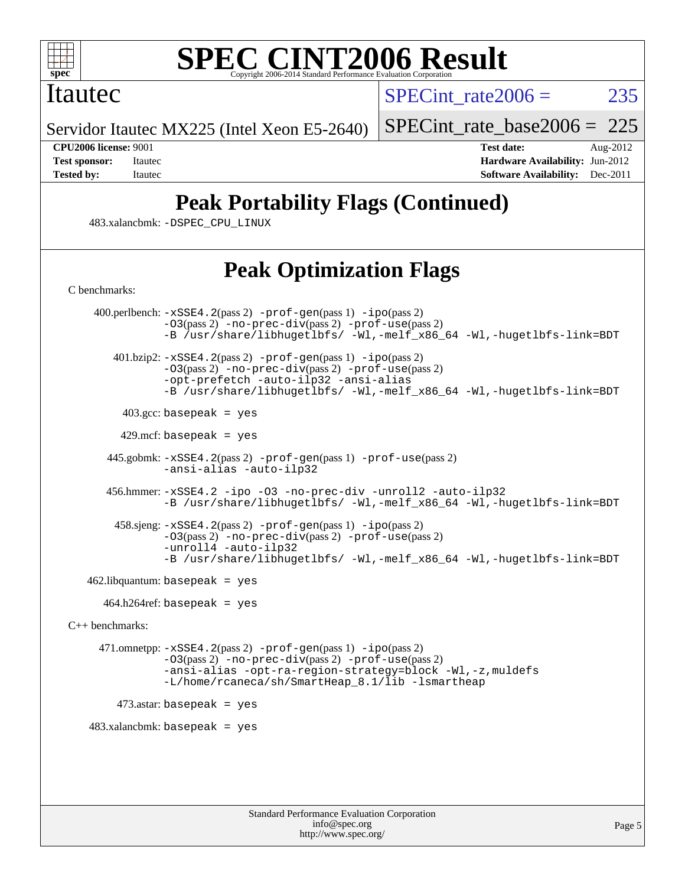

### Itautec

SPECint rate $2006 = 235$ 

Servidor Itautec MX225 (Intel Xeon E5-2640)

[SPECint\\_rate\\_base2006 =](http://www.spec.org/auto/cpu2006/Docs/result-fields.html#SPECintratebase2006) 225

[C benchmarks](http://www.spec.org/auto/cpu2006/Docs/result-fields.html#Cbenchmarks):

**[CPU2006 license:](http://www.spec.org/auto/cpu2006/Docs/result-fields.html#CPU2006license)** 9001 **[Test date:](http://www.spec.org/auto/cpu2006/Docs/result-fields.html#Testdate)** Aug-2012 **[Test sponsor:](http://www.spec.org/auto/cpu2006/Docs/result-fields.html#Testsponsor)** Itautec **[Hardware Availability:](http://www.spec.org/auto/cpu2006/Docs/result-fields.html#HardwareAvailability)** Jun-2012 **[Tested by:](http://www.spec.org/auto/cpu2006/Docs/result-fields.html#Testedby)** Itautec **[Software Availability:](http://www.spec.org/auto/cpu2006/Docs/result-fields.html#SoftwareAvailability)** Dec-2011

# **[Peak Portability Flags \(Continued\)](http://www.spec.org/auto/cpu2006/Docs/result-fields.html#PeakPortabilityFlags)**

483.xalancbmk: [-DSPEC\\_CPU\\_LINUX](http://www.spec.org/cpu2006/results/res2012q3/cpu2006-20120821-24268.flags.html#b483.xalancbmk_peakCXXPORTABILITY_DSPEC_CPU_LINUX)

# **[Peak Optimization Flags](http://www.spec.org/auto/cpu2006/Docs/result-fields.html#PeakOptimizationFlags)**

Standard Performance Evaluation Corporation 400.perlbench: [-xSSE4.2](http://www.spec.org/cpu2006/results/res2012q3/cpu2006-20120821-24268.flags.html#user_peakPASS2_CFLAGSPASS2_LDCFLAGS400_perlbench_f-xSSE42_f91528193cf0b216347adb8b939d4107)(pass 2) [-prof-gen](http://www.spec.org/cpu2006/results/res2012q3/cpu2006-20120821-24268.flags.html#user_peakPASS1_CFLAGSPASS1_LDCFLAGS400_perlbench_prof_gen_e43856698f6ca7b7e442dfd80e94a8fc)(pass 1) [-ipo](http://www.spec.org/cpu2006/results/res2012q3/cpu2006-20120821-24268.flags.html#user_peakPASS2_CFLAGSPASS2_LDCFLAGS400_perlbench_f-ipo)(pass 2) [-O3](http://www.spec.org/cpu2006/results/res2012q3/cpu2006-20120821-24268.flags.html#user_peakPASS2_CFLAGSPASS2_LDCFLAGS400_perlbench_f-O3)(pass 2) [-no-prec-div](http://www.spec.org/cpu2006/results/res2012q3/cpu2006-20120821-24268.flags.html#user_peakPASS2_CFLAGSPASS2_LDCFLAGS400_perlbench_f-no-prec-div)(pass 2) [-prof-use](http://www.spec.org/cpu2006/results/res2012q3/cpu2006-20120821-24268.flags.html#user_peakPASS2_CFLAGSPASS2_LDCFLAGS400_perlbench_prof_use_bccf7792157ff70d64e32fe3e1250b55)(pass 2) [-B /usr/share/libhugetlbfs/ -Wl,-melf\\_x86\\_64 -Wl,-hugetlbfs-link=BDT](http://www.spec.org/cpu2006/results/res2012q3/cpu2006-20120821-24268.flags.html#user_peakPASS1_LDOPTPASS2_LDOPT400_perlbench_link_for_large_pages_64bit_fe1717234df9d3a8c8833ff77218828e)  $401.bzip2: -xSSE4.2(pass 2) -prof-gen(pass 1) -ipo(pass 2)$  $401.bzip2: -xSSE4.2(pass 2) -prof-gen(pass 1) -ipo(pass 2)$  $401.bzip2: -xSSE4.2(pass 2) -prof-gen(pass 1) -ipo(pass 2)$  $401.bzip2: -xSSE4.2(pass 2) -prof-gen(pass 1) -ipo(pass 2)$  $401.bzip2: -xSSE4.2(pass 2) -prof-gen(pass 1) -ipo(pass 2)$  $401.bzip2: -xSSE4.2(pass 2) -prof-gen(pass 1) -ipo(pass 2)$  $401.bzip2: -xSSE4.2(pass 2) -prof-gen(pass 1) -ipo(pass 2)$ [-O3](http://www.spec.org/cpu2006/results/res2012q3/cpu2006-20120821-24268.flags.html#user_peakPASS2_CFLAGSPASS2_LDCFLAGS401_bzip2_f-O3)(pass 2) [-no-prec-div](http://www.spec.org/cpu2006/results/res2012q3/cpu2006-20120821-24268.flags.html#user_peakPASS2_CFLAGSPASS2_LDCFLAGS401_bzip2_f-no-prec-div)(pass 2) [-prof-use](http://www.spec.org/cpu2006/results/res2012q3/cpu2006-20120821-24268.flags.html#user_peakPASS2_CFLAGSPASS2_LDCFLAGS401_bzip2_prof_use_bccf7792157ff70d64e32fe3e1250b55)(pass 2) [-opt-prefetch](http://www.spec.org/cpu2006/results/res2012q3/cpu2006-20120821-24268.flags.html#user_peakCOPTIMIZE401_bzip2_f-opt-prefetch) [-auto-ilp32](http://www.spec.org/cpu2006/results/res2012q3/cpu2006-20120821-24268.flags.html#user_peakCOPTIMIZE401_bzip2_f-auto-ilp32) [-ansi-alias](http://www.spec.org/cpu2006/results/res2012q3/cpu2006-20120821-24268.flags.html#user_peakCOPTIMIZE401_bzip2_f-ansi-alias) [-B /usr/share/libhugetlbfs/ -Wl,-melf\\_x86\\_64 -Wl,-hugetlbfs-link=BDT](http://www.spec.org/cpu2006/results/res2012q3/cpu2006-20120821-24268.flags.html#user_peakPASS1_LDOPTPASS2_LDOPT401_bzip2_link_for_large_pages_64bit_fe1717234df9d3a8c8833ff77218828e)  $403.\text{gcc: basepeak}$  = yes  $429$ .mcf: basepeak = yes 445.gobmk: [-xSSE4.2](http://www.spec.org/cpu2006/results/res2012q3/cpu2006-20120821-24268.flags.html#user_peakPASS2_CFLAGSPASS2_LDCFLAGS445_gobmk_f-xSSE42_f91528193cf0b216347adb8b939d4107)(pass 2) [-prof-gen](http://www.spec.org/cpu2006/results/res2012q3/cpu2006-20120821-24268.flags.html#user_peakPASS1_CFLAGSPASS1_LDCFLAGS445_gobmk_prof_gen_e43856698f6ca7b7e442dfd80e94a8fc)(pass 1) [-prof-use](http://www.spec.org/cpu2006/results/res2012q3/cpu2006-20120821-24268.flags.html#user_peakPASS2_CFLAGSPASS2_LDCFLAGS445_gobmk_prof_use_bccf7792157ff70d64e32fe3e1250b55)(pass 2) [-ansi-alias](http://www.spec.org/cpu2006/results/res2012q3/cpu2006-20120821-24268.flags.html#user_peakCOPTIMIZE445_gobmk_f-ansi-alias) [-auto-ilp32](http://www.spec.org/cpu2006/results/res2012q3/cpu2006-20120821-24268.flags.html#user_peakCOPTIMIZE445_gobmk_f-auto-ilp32) 456.hmmer: [-xSSE4.2](http://www.spec.org/cpu2006/results/res2012q3/cpu2006-20120821-24268.flags.html#user_peakCOPTIMIZE456_hmmer_f-xSSE42_f91528193cf0b216347adb8b939d4107) [-ipo](http://www.spec.org/cpu2006/results/res2012q3/cpu2006-20120821-24268.flags.html#user_peakCOPTIMIZE456_hmmer_f-ipo) [-O3](http://www.spec.org/cpu2006/results/res2012q3/cpu2006-20120821-24268.flags.html#user_peakCOPTIMIZE456_hmmer_f-O3) [-no-prec-div](http://www.spec.org/cpu2006/results/res2012q3/cpu2006-20120821-24268.flags.html#user_peakCOPTIMIZE456_hmmer_f-no-prec-div) [-unroll2](http://www.spec.org/cpu2006/results/res2012q3/cpu2006-20120821-24268.flags.html#user_peakCOPTIMIZE456_hmmer_f-unroll_784dae83bebfb236979b41d2422d7ec2) [-auto-ilp32](http://www.spec.org/cpu2006/results/res2012q3/cpu2006-20120821-24268.flags.html#user_peakCOPTIMIZE456_hmmer_f-auto-ilp32) [-B /usr/share/libhugetlbfs/ -Wl,-melf\\_x86\\_64 -Wl,-hugetlbfs-link=BDT](http://www.spec.org/cpu2006/results/res2012q3/cpu2006-20120821-24268.flags.html#user_peakLDOPT456_hmmer_link_for_large_pages_64bit_fe1717234df9d3a8c8833ff77218828e) 458.sjeng: [-xSSE4.2](http://www.spec.org/cpu2006/results/res2012q3/cpu2006-20120821-24268.flags.html#user_peakPASS2_CFLAGSPASS2_LDCFLAGS458_sjeng_f-xSSE42_f91528193cf0b216347adb8b939d4107)(pass 2) [-prof-gen](http://www.spec.org/cpu2006/results/res2012q3/cpu2006-20120821-24268.flags.html#user_peakPASS1_CFLAGSPASS1_LDCFLAGS458_sjeng_prof_gen_e43856698f6ca7b7e442dfd80e94a8fc)(pass 1) [-ipo](http://www.spec.org/cpu2006/results/res2012q3/cpu2006-20120821-24268.flags.html#user_peakPASS2_CFLAGSPASS2_LDCFLAGS458_sjeng_f-ipo)(pass 2) [-O3](http://www.spec.org/cpu2006/results/res2012q3/cpu2006-20120821-24268.flags.html#user_peakPASS2_CFLAGSPASS2_LDCFLAGS458_sjeng_f-O3)(pass 2) [-no-prec-div](http://www.spec.org/cpu2006/results/res2012q3/cpu2006-20120821-24268.flags.html#user_peakPASS2_CFLAGSPASS2_LDCFLAGS458_sjeng_f-no-prec-div)(pass 2) [-prof-use](http://www.spec.org/cpu2006/results/res2012q3/cpu2006-20120821-24268.flags.html#user_peakPASS2_CFLAGSPASS2_LDCFLAGS458_sjeng_prof_use_bccf7792157ff70d64e32fe3e1250b55)(pass 2) [-unroll4](http://www.spec.org/cpu2006/results/res2012q3/cpu2006-20120821-24268.flags.html#user_peakCOPTIMIZE458_sjeng_f-unroll_4e5e4ed65b7fd20bdcd365bec371b81f) [-auto-ilp32](http://www.spec.org/cpu2006/results/res2012q3/cpu2006-20120821-24268.flags.html#user_peakCOPTIMIZE458_sjeng_f-auto-ilp32) [-B /usr/share/libhugetlbfs/ -Wl,-melf\\_x86\\_64 -Wl,-hugetlbfs-link=BDT](http://www.spec.org/cpu2006/results/res2012q3/cpu2006-20120821-24268.flags.html#user_peakPASS1_LDOPTPASS2_LDOPT458_sjeng_link_for_large_pages_64bit_fe1717234df9d3a8c8833ff77218828e)  $462$ .libquantum: basepeak = yes 464.h264ref: basepeak = yes [C++ benchmarks:](http://www.spec.org/auto/cpu2006/Docs/result-fields.html#CXXbenchmarks) 471.omnetpp: [-xSSE4.2](http://www.spec.org/cpu2006/results/res2012q3/cpu2006-20120821-24268.flags.html#user_peakPASS2_CXXFLAGSPASS2_LDCXXFLAGS471_omnetpp_f-xSSE42_f91528193cf0b216347adb8b939d4107)(pass 2) [-prof-gen](http://www.spec.org/cpu2006/results/res2012q3/cpu2006-20120821-24268.flags.html#user_peakPASS1_CXXFLAGSPASS1_LDCXXFLAGS471_omnetpp_prof_gen_e43856698f6ca7b7e442dfd80e94a8fc)(pass 1) [-ipo](http://www.spec.org/cpu2006/results/res2012q3/cpu2006-20120821-24268.flags.html#user_peakPASS2_CXXFLAGSPASS2_LDCXXFLAGS471_omnetpp_f-ipo)(pass 2) [-O3](http://www.spec.org/cpu2006/results/res2012q3/cpu2006-20120821-24268.flags.html#user_peakPASS2_CXXFLAGSPASS2_LDCXXFLAGS471_omnetpp_f-O3)(pass 2) [-no-prec-div](http://www.spec.org/cpu2006/results/res2012q3/cpu2006-20120821-24268.flags.html#user_peakPASS2_CXXFLAGSPASS2_LDCXXFLAGS471_omnetpp_f-no-prec-div)(pass 2) [-prof-use](http://www.spec.org/cpu2006/results/res2012q3/cpu2006-20120821-24268.flags.html#user_peakPASS2_CXXFLAGSPASS2_LDCXXFLAGS471_omnetpp_prof_use_bccf7792157ff70d64e32fe3e1250b55)(pass 2) [-ansi-alias](http://www.spec.org/cpu2006/results/res2012q3/cpu2006-20120821-24268.flags.html#user_peakCXXOPTIMIZE471_omnetpp_f-ansi-alias) [-opt-ra-region-strategy=block](http://www.spec.org/cpu2006/results/res2012q3/cpu2006-20120821-24268.flags.html#user_peakCXXOPTIMIZE471_omnetpp_f-opt-ra-region-strategy_a0a37c372d03933b2a18d4af463c1f69) [-Wl,-z,muldefs](http://www.spec.org/cpu2006/results/res2012q3/cpu2006-20120821-24268.flags.html#user_peakEXTRA_LDFLAGS471_omnetpp_link_force_multiple1_74079c344b956b9658436fd1b6dd3a8a) [-L/home/rcaneca/sh/SmartHeap\\_8.1/lib -lsmartheap](http://www.spec.org/cpu2006/results/res2012q3/cpu2006-20120821-24268.flags.html#user_peakEXTRA_LIBS471_omnetpp_SmartHeap_0f3a9c58980a95eacf4c6b7a458c149d) 473.astar: basepeak = yes  $483.xalanchmk: basepeak = yes$ 

> [info@spec.org](mailto:info@spec.org) <http://www.spec.org/>